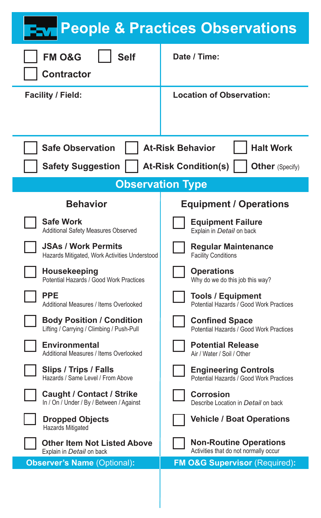| <b>FM O&amp;G</b><br><b>Self</b><br>Contractor                             | Date / Time:                            |
|----------------------------------------------------------------------------|-----------------------------------------|
| Facility / Field:                                                          | Location of Observation:                |
|                                                                            |                                         |
| <b>At-Risk Behavior</b><br><b>Halt Work</b><br><b>Safe Observation</b>     |                                         |
| <b>Safety Suggestion</b><br><b>At-Risk Condition(s)</b><br>Other (Specify) |                                         |
| <b>Observation Type</b>                                                    |                                         |
| <b>Behavior</b>                                                            | <b>Equipment / Operations</b>           |
| Safe Work                                                                  | <b>Equipment Failure</b>                |
| Additional Safety Measures Observed                                        | Explain in Detail on back               |
| <b>JSAs / Work Permits</b>                                                 | Regular Maintenance                     |
| Hazards Mitigated, Work Activities Understood                              | <b>Facility Conditions</b>              |
| Housekeeping                                                               | Operations                              |
| Potential Hazards / Good Work Practices                                    | Why do we do this job this way?         |
| PPF                                                                        | <b>Tools / Equipment</b>                |
| Additional Measures / Items Overlooked                                     | Potential Hazards / Good Work Practices |
| <b>Body Position / Condition</b>                                           | <b>Confined Space</b>                   |
| Lifting / Carrying / Climbing / Push-Pull                                  | Potential Hazards / Good Work Practices |
| Environmental                                                              | <b>Potential Release</b>                |
| Additional Measures / Items Overlooked                                     | Air / Water / Soil / Other              |
| Slips / Trips / Falls                                                      | <b>Engineering Controls</b>             |
| Hazards / Same Level / From Above                                          | Potential Hazards / Good Work Practices |
| Caught / Contact / Strike                                                  | Corrosion                               |
| In / On / Under / By / Between / Against                                   | Describe Location in Detail on back     |
| <b>Dropped Objects</b><br>Hazards Mitigated                                | <b>Vehicle / Boat Operations</b>        |
| Other Item Not Listed Above                                                | <b>Non-Routine Operations</b>           |
| Explain in Detail on back                                                  | Activities that do not normally occur   |
| <b>Observer's Name (Optional):</b>                                         | FM O&G Supervisor (Required):           |